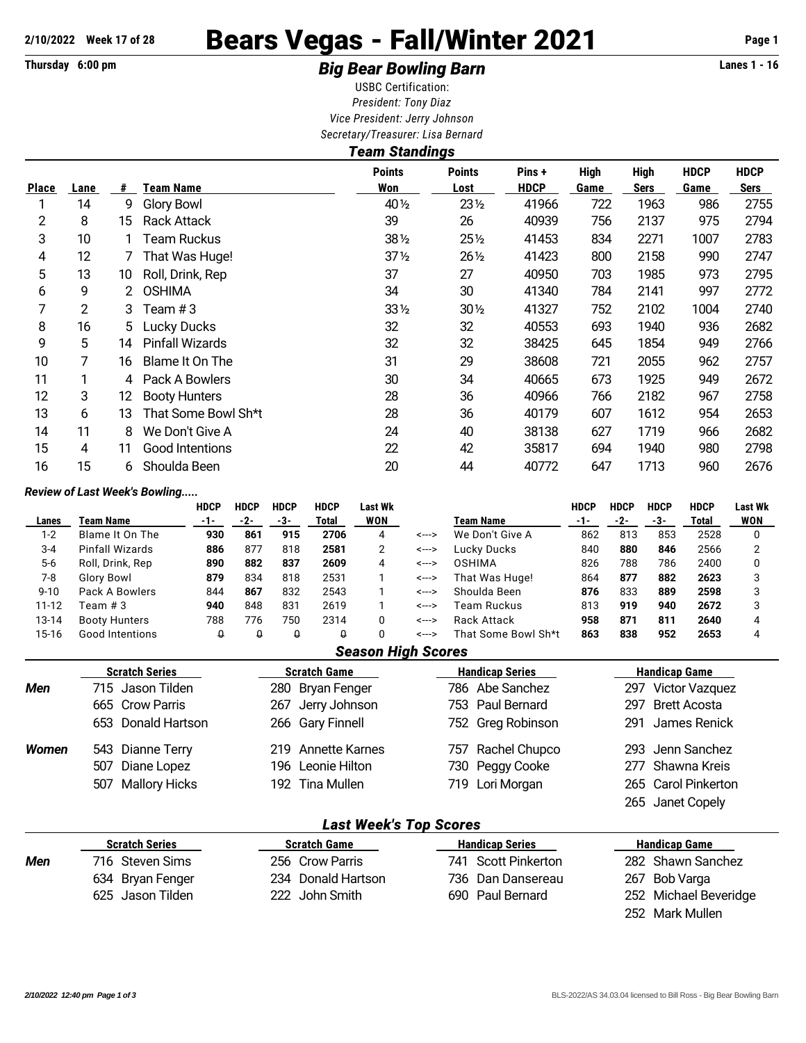# 2/10/2022 Week 17 of 28 **Bears Vegas - Fall/Winter 2021** Page 1

## Thursday 6:00 pm **Example 2 Constrained Big Bear Bowling Barn Example 2 Constrained Big Bear Bowling Barn**

USBC Certification: *President: Tony Diaz Vice President: Jerry Johnson Secretary/Treasurer: Lisa Bernard*

|              |                |    |                        | <b>Team Standings</b> |                       |                       |                     |                            |                     |                            |
|--------------|----------------|----|------------------------|-----------------------|-----------------------|-----------------------|---------------------|----------------------------|---------------------|----------------------------|
| <b>Place</b> | Lane           | #  | Team Name              | <b>Points</b><br>Won  | <b>Points</b><br>Lost | Pins +<br><b>HDCP</b> | <b>High</b><br>Game | <b>High</b><br><b>Sers</b> | <b>HDCP</b><br>Game | <b>HDCP</b><br><b>Sers</b> |
|              | 14             | 9  | Glory Bowl             | 40 1/2                | 231/2                 | 41966                 | 722                 | 1963                       | 986                 | 2755                       |
| 2            | 8              | 15 | Rack Attack            | 39                    | 26                    | 40939                 | 756                 | 2137                       | 975                 | 2794                       |
| 3            | 10             |    | Team Ruckus            | $38\%$                | $25\%$                | 41453                 | 834                 | 2271                       | 1007                | 2783                       |
| 4            | 12             |    | That Was Huge!         | $37\frac{1}{2}$       | $26\frac{1}{2}$       | 41423                 | 800                 | 2158                       | 990                 | 2747                       |
| 5            | 13             | 10 | Roll, Drink, Rep       | 37                    | 27                    | 40950                 | 703                 | 1985                       | 973                 | 2795                       |
| 6            | 9              | 2  | <b>OSHIMA</b>          | 34                    | 30                    | 41340                 | 784                 | 2141                       | 997                 | 2772                       |
| 7            | $\overline{c}$ | 3  | Team #3                | 33 1/2                | $30\%$                | 41327                 | 752                 | 2102                       | 1004                | 2740                       |
| 8            | 16             | 5. | <b>Lucky Ducks</b>     | 32                    | 32                    | 40553                 | 693                 | 1940                       | 936                 | 2682                       |
| 9            | 5              | 14 | <b>Pinfall Wizards</b> | 32                    | 32                    | 38425                 | 645                 | 1854                       | 949                 | 2766                       |
| 10           |                | 16 | Blame It On The        | 31                    | 29                    | 38608                 | 721                 | 2055                       | 962                 | 2757                       |
| 11           |                | 4  | Pack A Bowlers         | 30                    | 34                    | 40665                 | 673                 | 1925                       | 949                 | 2672                       |
| 12           | 3              | 12 | <b>Booty Hunters</b>   | 28                    | 36                    | 40966                 | 766                 | 2182                       | 967                 | 2758                       |
| 13           | 6              | 13 | That Some Bowl Sh*t    | 28                    | 36                    | 40179                 | 607                 | 1612                       | 954                 | 2653                       |
| 14           | 11             | 8  | We Don't Give A        | 24                    | 40                    | 38138                 | 627                 | 1719                       | 966                 | 2682                       |
| 15           | 4              | 11 | Good Intentions        | 22                    | 42                    | 35817                 | 694                 | 1940                       | 980                 | 2798                       |
| 16           | 15             | 6. | Shoulda Been           | 20                    | 44                    | 40772                 | 647                 | 1713                       | 960                 | 2676                       |

### *Review of Last Week's Bowling.....*

|           |                      | <b>HDCP</b> | <b>HDCP</b> | <b>HDCP</b> | <b>HDCP</b> | Last Wk |       |                     | HDCP  | <b>HDCP</b> | HDCP | <b>HDCP</b> | <b>Last Wk</b> |
|-----------|----------------------|-------------|-------------|-------------|-------------|---------|-------|---------------------|-------|-------------|------|-------------|----------------|
| Lanes     | Team Name            | -1-         | -2-         | -3-         | Total       | WON     |       | Team Name           | $-1-$ | -2-         | -3-  | Total       | WON            |
| $1 - 2$   | Blame It On The      | 930         | 861         | 915         | 2706        | 4       | <---> | We Don't Give A     | 862   | 813         | 853  | 2528        |                |
| $3 - 4$   | Pinfall Wizards      | 886         | 877         | 818         | 2581        |         | <---> | Lucky Ducks         | 840   | 880         | 846  | 2566        |                |
| $5-6$     | Roll, Drink, Rep     | 890         | 882         | 837         | 2609        | 4       | <---> | <b>OSHIMA</b>       | 826   | 788         | 786  | 2400        |                |
| 7-8       | Glory Bowl           | 879         | 834         | 818         | 2531        |         | <---> | That Was Huge!      | 864   | 877         | 882  | 2623        |                |
| $9 - 10$  | Pack A Bowlers       | 844         | 867         | 832         | 2543        |         | <---> | Shoulda Been        | 876   | 833         | 889  | 2598        |                |
| $11 - 12$ | Team # 3             | 940         | 848         | 831         | 2619        |         | <---> | Team Ruckus         | 813   | 919         | 940  | 2672        |                |
| 13-14     | <b>Booty Hunters</b> | 788         | 776         | 750         | 2314        |         | <---> | Rack Attack         | 958   | 871         | 811  | 2640        |                |
| 15-16     | Good Intentions      |             |             |             |             |         | <---> | That Some Bowl Sh*t | 863   | 838         | 952  | 2653        |                |

#### *Season High Scores*

|       | <b>Scratch Series</b> | <b>Scratch Game</b> | <b>Handicap Series</b> | <b>Handicap Game</b> |
|-------|-----------------------|---------------------|------------------------|----------------------|
| Men   | 715 Jason Tilden      | 280 Bryan Fenger    | 786 Abe Sanchez        | 297 Victor Vazquez   |
|       | 665 Crow Parris       | 267 Jerry Johnson   | 753 Paul Bernard       | 297 Brett Acosta     |
|       | 653 Donald Hartson    | 266 Gary Finnell    | 752 Greg Robinson      | 291 James Renick     |
| Women | 543 Dianne Terry      | 219 Annette Karnes  | 757 Rachel Chupco      | 293 Jenn Sanchez     |
|       | 507 Diane Lopez       | 196 Leonie Hilton   | 730 Peggy Cooke        | 277 Shawna Kreis     |
|       | 507 Mallory Hicks     | 192 Tina Mullen     | 719 Lori Morgan        | 265 Carol Pinkerton  |
|       |                       |                     |                        | 265 Janet Copely     |

#### *Last Week's Top Scores*

|     | <b>Scratch Series</b> | <b>Scratch Game</b> | <b>Handicap Series</b> | Handicap Game         |
|-----|-----------------------|---------------------|------------------------|-----------------------|
| Men | 716 Steven Sims       | 256 Crow Parris     | 741 Scott Pinkerton    | 282 Shawn Sanchez     |
|     | 634 Bryan Fenger      | 234 Donald Hartson  | 736 Dan Dansereau      | 267 Bob Varga         |
|     | 625 Jason Tilden      | 222 John Smith      | 690 Paul Bernard       | 252 Michael Beveridge |
|     |                       |                     |                        |                       |

252 Mark Mullen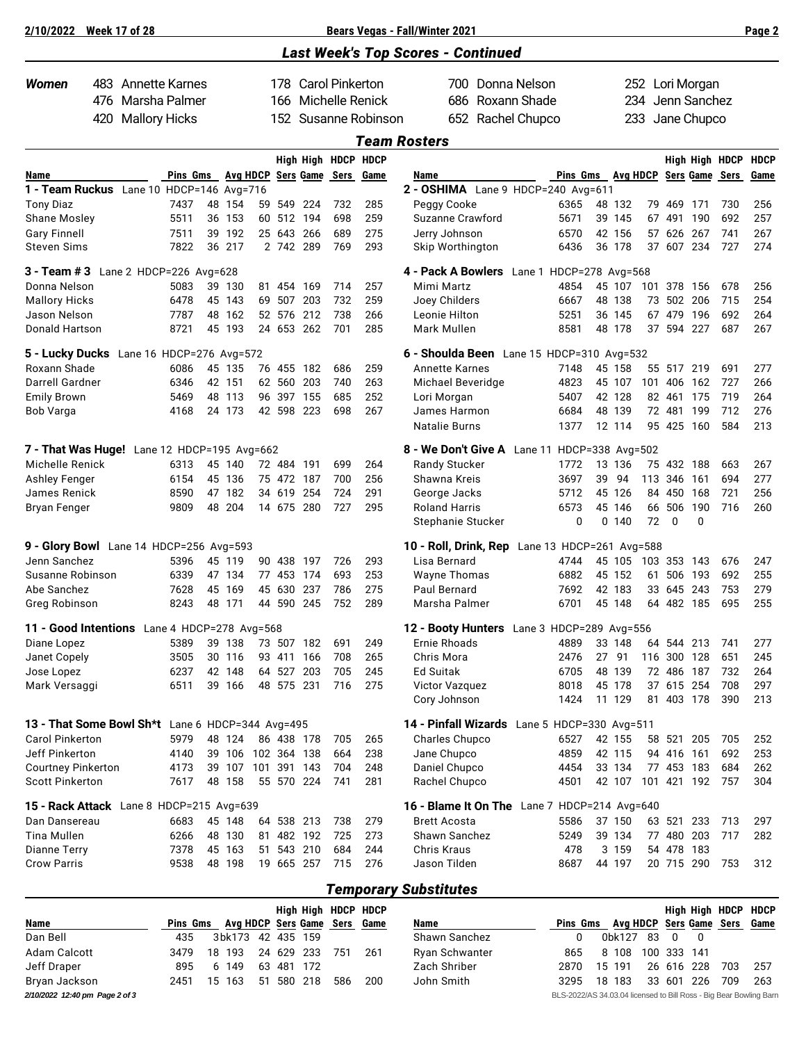| 2/10/2022                                                 |     | <b>Week 17 of 28</b> |                   |    |                  |    |                  |                           |                     |                      | Bears Vegas - Fall/Winter 2021                                      |  |                   |    |                  |     |                          |                 |                | Page 2      |
|-----------------------------------------------------------|-----|----------------------|-------------------|----|------------------|----|------------------|---------------------------|---------------------|----------------------|---------------------------------------------------------------------|--|-------------------|----|------------------|-----|--------------------------|-----------------|----------------|-------------|
|                                                           |     |                      |                   |    |                  |    |                  |                           |                     |                      | <b>Last Week's Top Scores - Continued</b>                           |  |                   |    |                  |     |                          |                 |                |             |
| <b>Women</b>                                              |     | 483 Annette Karnes   |                   |    |                  |    |                  |                           | 178 Carol Pinkerton |                      | 700 Donna Nelson                                                    |  |                   |    |                  |     |                          | 252 Lori Morgan |                |             |
| Marsha Palmer<br>476                                      |     |                      |                   |    |                  |    | 166              |                           |                     | Michelle Renick      | Roxann Shade<br>686                                                 |  |                   |    | 234              |     |                          | Jenn Sanchez    |                |             |
|                                                           | 420 | <b>Mallory Hicks</b> |                   |    |                  |    |                  |                           |                     | 152 Susanne Robinson | 652 Rachel Chupco                                                   |  |                   |    | 233              |     |                          | Jane Chupco     |                |             |
|                                                           |     |                      |                   |    |                  |    |                  |                           |                     |                      | <b>Team Rosters</b>                                                 |  |                   |    |                  |     |                          |                 |                |             |
|                                                           |     |                      |                   |    |                  |    |                  |                           | High High HDCP HDCP |                      |                                                                     |  |                   |    |                  |     |                          |                 | High High HDCP | <b>HDCP</b> |
| Name                                                      |     |                      | Pins Gms Avg HDCP |    |                  |    |                  |                           | Sers Game Sers      | Game                 | Name                                                                |  | Pins Gms Avg HDCP |    |                  |     |                          | Sers Game Sers  |                | Game        |
| 1 - Team Ruckus Lane 10 HDCP=146 Avg=716                  |     |                      |                   |    |                  |    |                  |                           |                     |                      | 2 - OSHIMA Lane 9 HDCP=240 Avg=611                                  |  |                   |    |                  |     |                          |                 |                |             |
| <b>Tony Diaz</b>                                          |     |                      | 7437              |    | 48 154           | 59 |                  | 549 224                   | 732                 | 285                  | Peggy Cooke                                                         |  | 6365              |    | 48 132           | 79  | 469                      | 171             | 730            | 256         |
| Shane Mosley                                              |     |                      | 5511              |    | 36 153           |    |                  | 60 512 194                | 698                 | 259                  | Suzanne Crawford                                                    |  | 5671              |    | 39 145           |     | 67 491 190               |                 | 692            | 257         |
| <b>Gary Finnell</b>                                       |     |                      | 7511              |    | 39 192           |    | 25 643           | 266                       | 689                 | 275                  | Jerry Johnson                                                       |  | 6570              |    | 42 156           |     | 57 626                   | 267             | 741            | 267         |
| <b>Steven Sims</b>                                        |     |                      | 7822              |    | 36 217           |    |                  | 2 742 289                 | 769                 | 293                  | Skip Worthington                                                    |  | 6436              |    | 36 178           |     | 37 607 234               |                 | 727            | 274         |
| 3 - Team # 3 Lane 2 HDCP=226 Avg=628                      |     |                      |                   |    |                  |    |                  |                           |                     |                      | 4 - Pack A Bowlers Lane 1 HDCP=278 Avg=568                          |  |                   |    |                  |     |                          |                 |                |             |
| Donna Nelson                                              |     |                      | 5083              |    | 39 130           |    |                  | 81 454 169                | 714                 | 257                  | Mimi Martz                                                          |  | 4854              |    | 45 107           |     | 101 378 156              |                 | 678            | 256         |
| <b>Mallory Hicks</b>                                      |     |                      | 6478              |    | 45 143           |    | 69 507           | 203                       | 732                 | 259                  | Joey Childers                                                       |  | 6667              |    | 48 138           | 73  | 502 206                  |                 | 715            | 254         |
| Jason Nelson<br>Donald Hartson                            |     |                      | 7787<br>8721      |    | 48 162<br>45 193 |    | 52 576<br>24 653 | 212<br>262                | 738<br>701          | 266<br>285           | Leonie Hilton<br>Mark Mullen                                        |  | 5251<br>8581      |    | 36 145<br>48 178 |     | 67 479<br>37 594         | 196<br>227      | 692<br>687     | 264<br>267  |
|                                                           |     |                      |                   |    |                  |    |                  |                           |                     |                      |                                                                     |  |                   |    |                  |     |                          |                 |                |             |
| 5 - Lucky Ducks Lane 16 HDCP=276 Avg=572                  |     |                      |                   |    |                  |    |                  |                           |                     |                      | 6 - Shoulda Been Lane 15 HDCP=310 Avg=532                           |  |                   |    |                  |     |                          |                 |                |             |
| Roxann Shade                                              |     |                      | 6086              |    | 45 135           |    |                  | 76 455 182                | 686                 | 259                  | <b>Annette Karnes</b>                                               |  | 7148              |    | 45 158           |     | 55 517 219               |                 | 691            | 277         |
| Darrell Gardner                                           |     |                      | 6346              |    | 42 151           |    | 62 560           | 203                       | 740                 | 263                  | Michael Beveridge                                                   |  | 4823              |    | 45 107           | 101 | 406                      | 162             | 727            | 266         |
| <b>Emily Brown</b><br>Bob Varga                           |     |                      | 5469<br>4168      |    | 48 113<br>24 173 |    |                  | 96 397 155<br>42 598 223  | 685<br>698          | 252<br>267           | Lori Morgan<br>James Harmon                                         |  | 5407<br>6684      |    | 42 128<br>48 139 |     | 82 461 175<br>72 481     | 199             | 719<br>712     | 264<br>276  |
|                                                           |     |                      |                   |    |                  |    |                  |                           |                     |                      | <b>Natalie Burns</b>                                                |  | 1377              |    | 12 114           |     | 95 425                   | 160             | 584            | 213         |
| 7 - That Was Huge! Lane 12 HDCP=195 Avg=662               |     |                      |                   |    |                  |    |                  |                           |                     |                      | 8 - We Don't Give A Lane 11 HDCP=338 Avg=502                        |  |                   |    |                  |     |                          |                 |                |             |
| Michelle Renick                                           |     |                      | 6313              | 45 | 140              |    |                  | 72 484 191                | 699                 | 264                  | Randy Stucker                                                       |  | 1772              |    | 13 136           | 75  | 432 188                  |                 | 663            | 267         |
| <b>Ashley Fenger</b>                                      |     |                      | 6154              |    | 45 136           |    |                  | 75 472 187                | 700                 | 256                  | Shawna Kreis                                                        |  | 3697              | 39 | 94               | 113 | 346                      | 161             | 694            | 277         |
| James Renick                                              |     |                      | 8590              |    | 47 182           |    |                  | 34 619 254                | 724                 | 291                  | George Jacks                                                        |  | 5712              |    | 45 126           |     | 84 450 168               |                 | 721            | 256         |
| <b>Bryan Fenger</b>                                       |     |                      | 9809              |    | 48 204           |    |                  | 14 675 280                | 727                 | 295                  | <b>Roland Harris</b>                                                |  | 6573              | 45 | 146              | 66  | 506                      | 190             | 716            | 260         |
|                                                           |     |                      |                   |    |                  |    |                  |                           |                     |                      | Stephanie Stucker                                                   |  | 0                 | 0  | 140              | 72  | 0                        | 0               |                |             |
| 9 - Glory Bowl Lane 14 HDCP=256 Avg=593                   |     |                      |                   |    |                  |    |                  |                           |                     |                      | 10 - Roll, Drink, Rep Lane 13 HDCP=261 Avg=588                      |  |                   |    |                  |     |                          |                 |                |             |
| Jenn Sanchez                                              |     |                      | 5396              |    | 45 119           |    | 90 438           | 197                       | 726                 | 293                  | Lisa Bernard                                                        |  | 4744              |    | 45 105           | 103 | 353 143                  |                 | 676            | 247         |
| Susanne Robinson                                          |     |                      | 6339              |    | 47 134           |    | 77 453           | 174                       | 693                 | 253                  | <b>Wayne Thomas</b>                                                 |  | 6882              |    | 45 152           | 61  | 506 193                  |                 | 692            | 255         |
| Abe Sanchez                                               |     |                      | 7628              |    | 45 169           |    | 45 630           | 237                       | 786                 | 275                  | Paul Bernard                                                        |  | 7692              |    | 42 183           |     | 33 645                   | 243             | 753            | 279         |
| Greg Robinson                                             |     |                      | 8243              |    | 48 171           |    |                  | 44 590 245                | 752                 | 289                  | Marsha Palmer                                                       |  | 6701              |    | 45 148           |     | 64 482 185               |                 | 695            | 255         |
| 11 - Good Intentions Lane 4 HDCP=278 Avg=568              |     |                      |                   |    |                  |    |                  |                           |                     |                      | 12 - Booty Hunters Lane 3 HDCP=289 Avg=556                          |  |                   |    |                  |     |                          |                 |                |             |
| Diane Lopez                                               |     |                      | 5389              |    | 39 138           |    |                  | 73 507 182                | 691                 | 249                  | Ernie Rhoads                                                        |  | 4889              |    | 33 148           |     | 64 544 213               |                 | 741            | 277         |
| Janet Copely                                              |     |                      | 3505              |    | 30 116           |    |                  | 93 411 166                | 708                 | 265                  | Chris Mora                                                          |  | 2476              |    | 27 91            |     | 116 300 128              |                 | 651            | 245         |
| Jose Lopez                                                |     |                      | 6237              |    | 42 148           |    | 64 527           | 203                       | 705                 | 245                  | <b>Ed Suitak</b>                                                    |  | 6705              |    | 48 139           |     | 72 486 187               |                 | 732            | 264         |
| Mark Versaggi                                             |     |                      | 6511              |    | 39 166           |    |                  | 48 575 231                | 716                 | 275                  | Victor Vazquez<br>Cory Johnson                                      |  | 8018<br>1424      |    | 45 178<br>11 129 |     | 37 615 254<br>81 403 178 |                 | 708<br>390     | 297<br>213  |
|                                                           |     |                      |                   |    |                  |    |                  |                           |                     |                      |                                                                     |  |                   |    |                  |     |                          |                 |                |             |
| 13 - That Some Bowl Sh*t Lane 6 HDCP=344 Avg=495          |     |                      |                   |    |                  |    |                  |                           |                     |                      | 14 - Pinfall Wizards Lane 5 HDCP=330 Avg=511                        |  |                   |    |                  |     |                          |                 |                |             |
| <b>Carol Pinkerton</b>                                    |     |                      | 5979              |    | 48 124           |    |                  | 86 438 178                | 705                 | 265                  | <b>Charles Chupco</b>                                               |  | 6527              |    | 42 155           |     | 58 521 205               |                 | 705            | 252         |
| Jeff Pinkerton                                            |     |                      | 4140              |    | 39 106           |    |                  | 102 364 138               | 664                 | 238                  | Jane Chupco                                                         |  | 4859              |    | 42 115           |     | 94 416 161               |                 | 692            | 253         |
| <b>Courtney Pinkerton</b><br><b>Scott Pinkerton</b>       |     |                      | 4173<br>7617      |    | 39 107<br>48 158 |    |                  | 101 391 143<br>55 570 224 | 704<br>741          | 248<br>281           | Daniel Chupco<br>Rachel Chupco                                      |  | 4454<br>4501      |    | 33 134<br>42 107 |     | 77 453 183               | 101 421 192 757 | 684            | 262<br>304  |
|                                                           |     |                      |                   |    |                  |    |                  |                           |                     |                      |                                                                     |  |                   |    |                  |     |                          |                 |                |             |
| 15 - Rack Attack Lane 8 HDCP=215 Avg=639<br>Dan Dansereau |     |                      | 6683              |    | 45 148           |    |                  | 64 538 213                | 738                 | 279                  | 16 - Blame It On The Lane 7 HDCP=214 Avg=640<br><b>Brett Acosta</b> |  | 5586              |    | 37 150           |     | 63 521 233               |                 | 713            | 297         |
| Tina Mullen                                               |     |                      | 6266              |    | 48 130           |    |                  | 81 482 192                | 725                 | 273                  | Shawn Sanchez                                                       |  | 5249              |    | 39 134           |     | 77 480 203               |                 | 717            | 282         |
| Dianne Terry                                              |     |                      | 7378              |    | 45 163           |    |                  | 51 543 210                | 684                 | 244                  | <b>Chris Kraus</b>                                                  |  | 478               |    | 3 159            |     | 54 478 183               |                 |                |             |
| <b>Crow Parris</b>                                        |     |                      | 9538              |    | 48 198           |    |                  | 19 665 257                | 715                 | 276                  | Jason Tilden                                                        |  | 8687              |    | 44 197           |     | 20 715 290               |                 | 753            | 312         |
|                                                           |     |                      |                   |    |                  |    |                  |                           |                     |                      |                                                                     |  |                   |    |                  |     |                          |                 |                |             |
|                                                           |     |                      |                   |    |                  |    |                  |                           |                     |                      | <b>Temporary Substitutes</b>                                        |  |                   |    |                  |     |                          |                 |                |             |

|                                |          |    |                              |    |        |     |     | High High HDCP HDCP |                |                                                                    |        |    |             |            |     | High High HDCP HDCP          |
|--------------------------------|----------|----|------------------------------|----|--------|-----|-----|---------------------|----------------|--------------------------------------------------------------------|--------|----|-------------|------------|-----|------------------------------|
| Name                           | Pins Gms |    | Avg HDCP Sers Game Sers Game |    |        |     |     |                     | <b>Name</b>    | Pins Gms                                                           |        |    |             |            |     | Avg HDCP Sers Game Sers Game |
| Dan Bell                       | 435      |    | 3bk173 42 435 159            |    |        |     |     |                     | Shawn Sanchez  |                                                                    | 0bk127 | 83 |             |            |     |                              |
| Adam Calcott                   | 3479     | 18 | 193                          |    | 24 629 | 233 | 751 | 261                 | Ryan Schwanter | 865                                                                | 8 108  |    | 100 333 141 |            |     |                              |
| Jeff Draper                    | 895      | 6  | 149                          |    | 63 481 | 172 |     |                     | Zach Shriber   | 2870                                                               | 15 191 |    |             | 26 616 228 | 703 | 257                          |
| Bryan Jackson                  | 2451     | 15 | 163                          | 51 | 580    | 218 | 586 | 200                 | John Smith     | 3295                                                               | 18 183 | 33 | 601         | 226        | 709 | 263                          |
| 2/10/2022 12:40 pm Page 2 of 3 |          |    |                              |    |        |     |     |                     |                | BLS-2022/AS 34.03.04 licensed to Bill Ross - Big Bear Bowling Barn |        |    |             |            |     |                              |